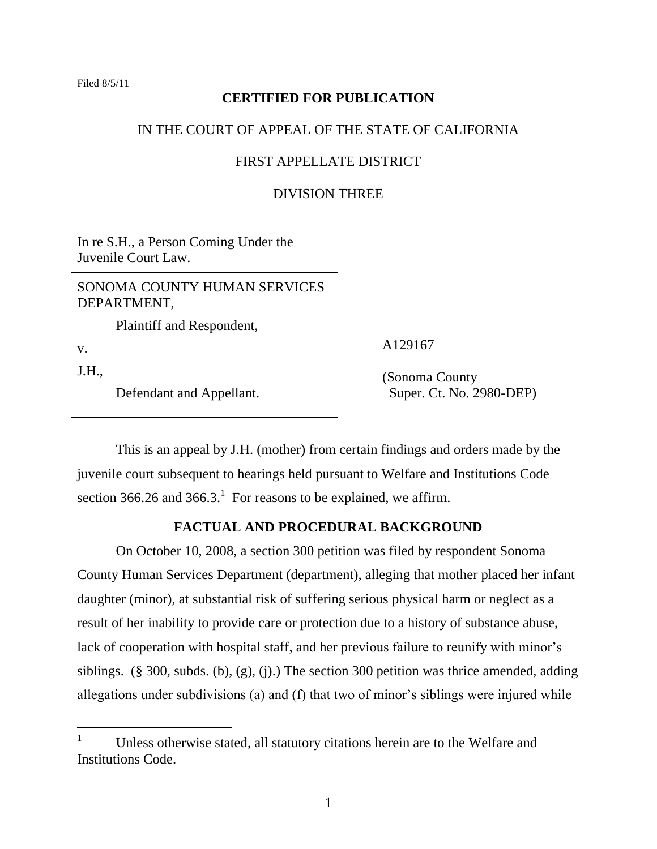Filed 8/5/11

# **CERTIFIED FOR PUBLICATION**

### IN THE COURT OF APPEAL OF THE STATE OF CALIFORNIA

### FIRST APPELLATE DISTRICT

# DIVISION THREE

In re S.H., a Person Coming Under the Juvenile Court Law.

SONOMA COUNTY HUMAN SERVICES DEPARTMENT,

Plaintiff and Respondent,

v.

 $\overline{a}$ 

J.H.,

Defendant and Appellant.

A129167

(Sonoma County Super. Ct. No. 2980-DEP)

This is an appeal by J.H. (mother) from certain findings and orders made by the juvenile court subsequent to hearings held pursuant to Welfare and Institutions Code section 366.26 and 366.3.<sup>1</sup> For reasons to be explained, we affirm.

# **FACTUAL AND PROCEDURAL BACKGROUND**

On October 10, 2008, a section 300 petition was filed by respondent Sonoma County Human Services Department (department), alleging that mother placed her infant daughter (minor), at substantial risk of suffering serious physical harm or neglect as a result of her inability to provide care or protection due to a history of substance abuse, lack of cooperation with hospital staff, and her previous failure to reunify with minor's siblings. (§ 300, subds. (b), (g), (j).) The section 300 petition was thrice amended, adding allegations under subdivisions (a) and (f) that two of minor's siblings were injured while

<sup>&</sup>lt;sup>1</sup> Unless otherwise stated, all statutory citations herein are to the Welfare and Institutions Code.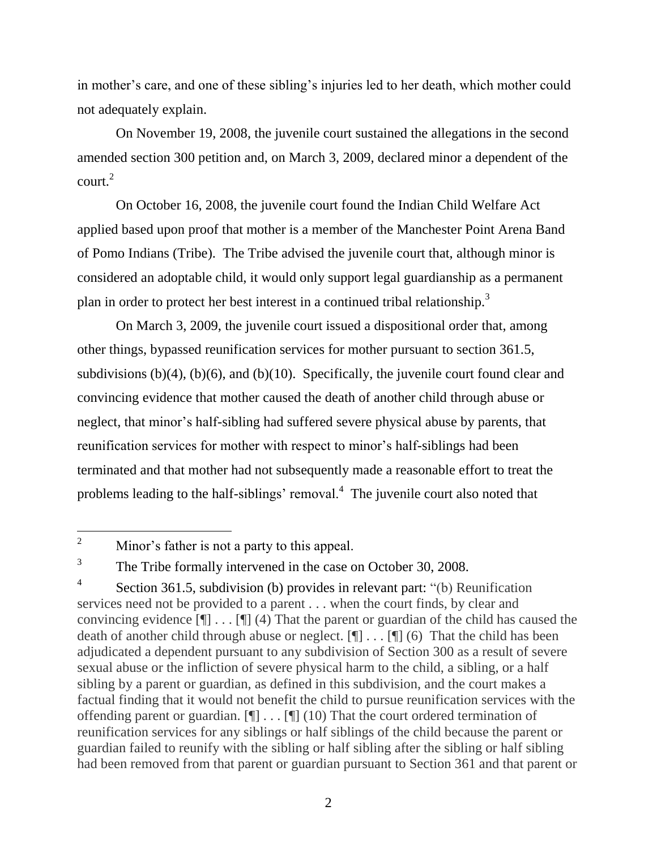in mother"s care, and one of these sibling"s injuries led to her death, which mother could not adequately explain.

On November 19, 2008, the juvenile court sustained the allegations in the second amended section 300 petition and, on March 3, 2009, declared minor a dependent of the  $\text{count}^2$ 

On October 16, 2008, the juvenile court found the Indian Child Welfare Act applied based upon proof that mother is a member of the Manchester Point Arena Band of Pomo Indians (Tribe). The Tribe advised the juvenile court that, although minor is considered an adoptable child, it would only support legal guardianship as a permanent plan in order to protect her best interest in a continued tribal relationship.<sup>3</sup>

On March 3, 2009, the juvenile court issued a dispositional order that, among other things, bypassed reunification services for mother pursuant to section 361.5, subdivisions  $(b)(4)$ ,  $(b)(6)$ , and  $(b)(10)$ . Specifically, the juvenile court found clear and convincing evidence that mother caused the death of another child through abuse or neglect, that minor"s half-sibling had suffered severe physical abuse by parents, that reunification services for mother with respect to minor"s half-siblings had been terminated and that mother had not subsequently made a reasonable effort to treat the problems leading to the half-siblings' removal.<sup>4</sup> The juvenile court also noted that

 $\overline{2}$ Minor's father is not a party to this appeal.

<sup>3</sup> The Tribe formally intervened in the case on October 30, 2008.

<sup>4</sup> Section 361.5, subdivision (b) provides in relevant part: "(b) Reunification services need not be provided to a parent . . . when the court finds, by clear and convincing evidence  $[\P] \dots [\P] (4)$  That the parent or guardian of the child has caused the death of another child through abuse or neglect. [¶] . . . [¶] (6) That the child has been adjudicated a dependent pursuant to any subdivision of Section 300 as a result of severe sexual abuse or the infliction of severe physical harm to the child, a sibling, or a half sibling by a parent or guardian, as defined in this subdivision, and the court makes a factual finding that it would not benefit the child to pursue reunification services with the offending parent or guardian. [¶] . . . [¶] (10) That the court ordered termination of reunification services for any siblings or half siblings of the child because the parent or guardian failed to reunify with the sibling or half sibling after the sibling or half sibling had been removed from that parent or guardian pursuant to Section 361 and that parent or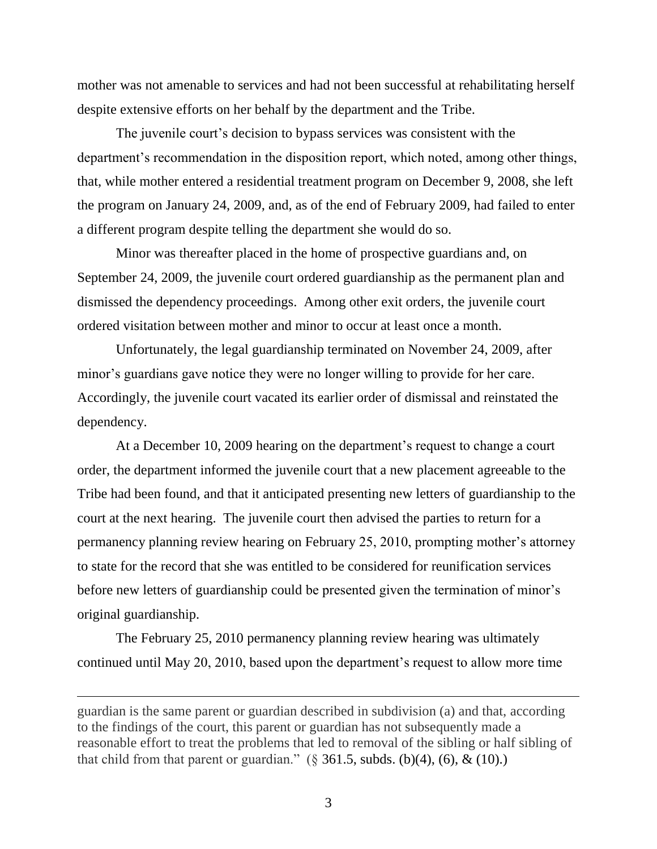mother was not amenable to services and had not been successful at rehabilitating herself despite extensive efforts on her behalf by the department and the Tribe.

The juvenile court's decision to bypass services was consistent with the department's recommendation in the disposition report, which noted, among other things, that, while mother entered a residential treatment program on December 9, 2008, she left the program on January 24, 2009, and, as of the end of February 2009, had failed to enter a different program despite telling the department she would do so.

Minor was thereafter placed in the home of prospective guardians and, on September 24, 2009, the juvenile court ordered guardianship as the permanent plan and dismissed the dependency proceedings. Among other exit orders, the juvenile court ordered visitation between mother and minor to occur at least once a month.

Unfortunately, the legal guardianship terminated on November 24, 2009, after minor's guardians gave notice they were no longer willing to provide for her care. Accordingly, the juvenile court vacated its earlier order of dismissal and reinstated the dependency.

At a December 10, 2009 hearing on the department's request to change a court order, the department informed the juvenile court that a new placement agreeable to the Tribe had been found, and that it anticipated presenting new letters of guardianship to the court at the next hearing. The juvenile court then advised the parties to return for a permanency planning review hearing on February 25, 2010, prompting mother"s attorney to state for the record that she was entitled to be considered for reunification services before new letters of guardianship could be presented given the termination of minor's original guardianship.

The February 25, 2010 permanency planning review hearing was ultimately continued until May 20, 2010, based upon the department"s request to allow more time

guardian is the same parent or guardian described in subdivision (a) and that, according to the findings of the court, this parent or guardian has not subsequently made a reasonable effort to treat the problems that led to removal of the sibling or half sibling of that child from that parent or guardian."  $(\S$  361.5, subds. (b)(4), (6), & (10).)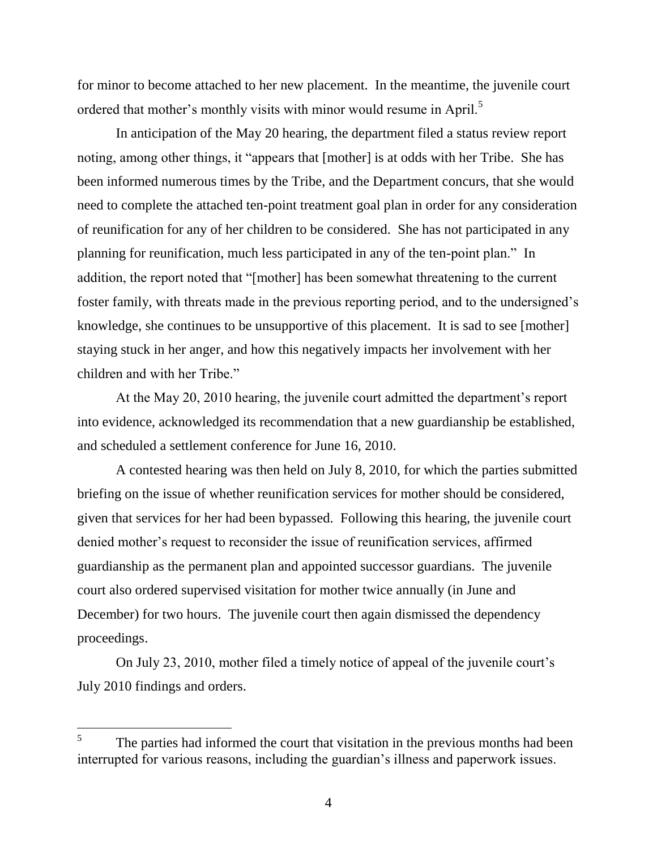for minor to become attached to her new placement. In the meantime, the juvenile court ordered that mother's monthly visits with minor would resume in April.<sup>5</sup>

In anticipation of the May 20 hearing, the department filed a status review report noting, among other things, it "appears that [mother] is at odds with her Tribe. She has been informed numerous times by the Tribe, and the Department concurs, that she would need to complete the attached ten-point treatment goal plan in order for any consideration of reunification for any of her children to be considered. She has not participated in any planning for reunification, much less participated in any of the ten-point plan." In addition, the report noted that "[mother] has been somewhat threatening to the current foster family, with threats made in the previous reporting period, and to the undersigned"s knowledge, she continues to be unsupportive of this placement. It is sad to see [mother] staying stuck in her anger, and how this negatively impacts her involvement with her children and with her Tribe."

At the May 20, 2010 hearing, the juvenile court admitted the department's report into evidence, acknowledged its recommendation that a new guardianship be established, and scheduled a settlement conference for June 16, 2010.

A contested hearing was then held on July 8, 2010, for which the parties submitted briefing on the issue of whether reunification services for mother should be considered, given that services for her had been bypassed. Following this hearing, the juvenile court denied mother's request to reconsider the issue of reunification services, affirmed guardianship as the permanent plan and appointed successor guardians. The juvenile court also ordered supervised visitation for mother twice annually (in June and December) for two hours. The juvenile court then again dismissed the dependency proceedings.

On July 23, 2010, mother filed a timely notice of appeal of the juvenile court"s July 2010 findings and orders.

 $\overline{a}$ 

<sup>5</sup> The parties had informed the court that visitation in the previous months had been interrupted for various reasons, including the guardian"s illness and paperwork issues.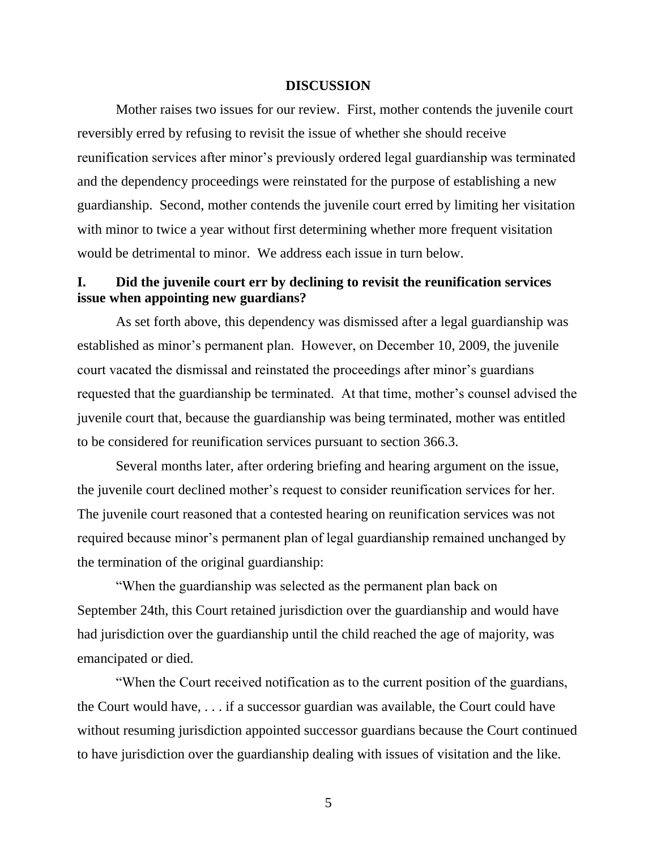#### **DISCUSSION**

Mother raises two issues for our review. First, mother contends the juvenile court reversibly erred by refusing to revisit the issue of whether she should receive reunification services after minor's previously ordered legal guardianship was terminated and the dependency proceedings were reinstated for the purpose of establishing a new guardianship. Second, mother contends the juvenile court erred by limiting her visitation with minor to twice a year without first determining whether more frequent visitation would be detrimental to minor. We address each issue in turn below.

# **I. Did the juvenile court err by declining to revisit the reunification services issue when appointing new guardians?**

As set forth above, this dependency was dismissed after a legal guardianship was established as minor's permanent plan. However, on December 10, 2009, the juvenile court vacated the dismissal and reinstated the proceedings after minor"s guardians requested that the guardianship be terminated. At that time, mother's counsel advised the juvenile court that, because the guardianship was being terminated, mother was entitled to be considered for reunification services pursuant to section 366.3.

Several months later, after ordering briefing and hearing argument on the issue, the juvenile court declined mother"s request to consider reunification services for her. The juvenile court reasoned that a contested hearing on reunification services was not required because minor"s permanent plan of legal guardianship remained unchanged by the termination of the original guardianship:

"When the guardianship was selected as the permanent plan back on September 24th, this Court retained jurisdiction over the guardianship and would have had jurisdiction over the guardianship until the child reached the age of majority, was emancipated or died.

"When the Court received notification as to the current position of the guardians, the Court would have, . . . if a successor guardian was available, the Court could have without resuming jurisdiction appointed successor guardians because the Court continued to have jurisdiction over the guardianship dealing with issues of visitation and the like.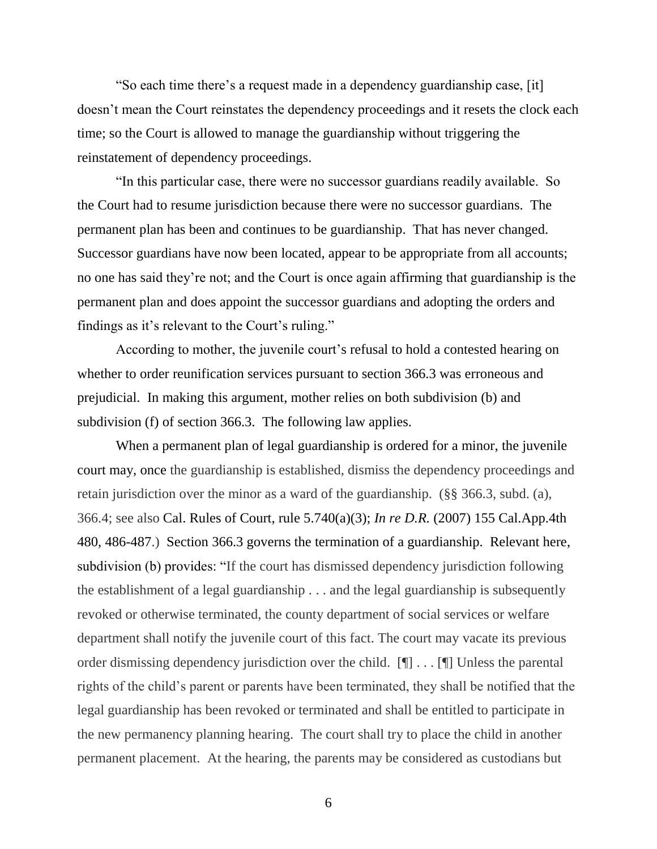"So each time there"s a request made in a dependency guardianship case, [it] doesn"t mean the Court reinstates the dependency proceedings and it resets the clock each time; so the Court is allowed to manage the guardianship without triggering the reinstatement of dependency proceedings.

"In this particular case, there were no successor guardians readily available. So the Court had to resume jurisdiction because there were no successor guardians. The permanent plan has been and continues to be guardianship. That has never changed. Successor guardians have now been located, appear to be appropriate from all accounts; no one has said they"re not; and the Court is once again affirming that guardianship is the permanent plan and does appoint the successor guardians and adopting the orders and findings as it's relevant to the Court's ruling."

According to mother, the juvenile court's refusal to hold a contested hearing on whether to order reunification services pursuant to section 366.3 was erroneous and prejudicial. In making this argument, mother relies on both subdivision (b) and subdivision (f) of section 366.3. The following law applies.

When a permanent plan of legal guardianship is ordered for a minor, the juvenile court may, once the guardianship is established, dismiss the dependency proceedings and retain jurisdiction over the minor as a ward of the guardianship. (§§ 366.3, subd. (a), 366.4; see also Cal. Rules of Court, rule 5.740(a)(3); *In re D.R.* (2007) 155 Cal.App.4th 480, 486-487.) Section 366.3 governs the termination of a guardianship. Relevant here, subdivision (b) provides: "If the court has dismissed dependency jurisdiction following the establishment of a legal guardianship . . . and the legal guardianship is subsequently revoked or otherwise terminated, the county department of social services or welfare department shall notify the juvenile court of this fact. The court may vacate its previous order dismissing dependency jurisdiction over the child. [¶] . . . [¶] Unless the parental rights of the child"s parent or parents have been terminated, they shall be notified that the legal guardianship has been revoked or terminated and shall be entitled to participate in the new permanency planning hearing. The court shall try to place the child in another permanent placement. At the hearing, the parents may be considered as custodians but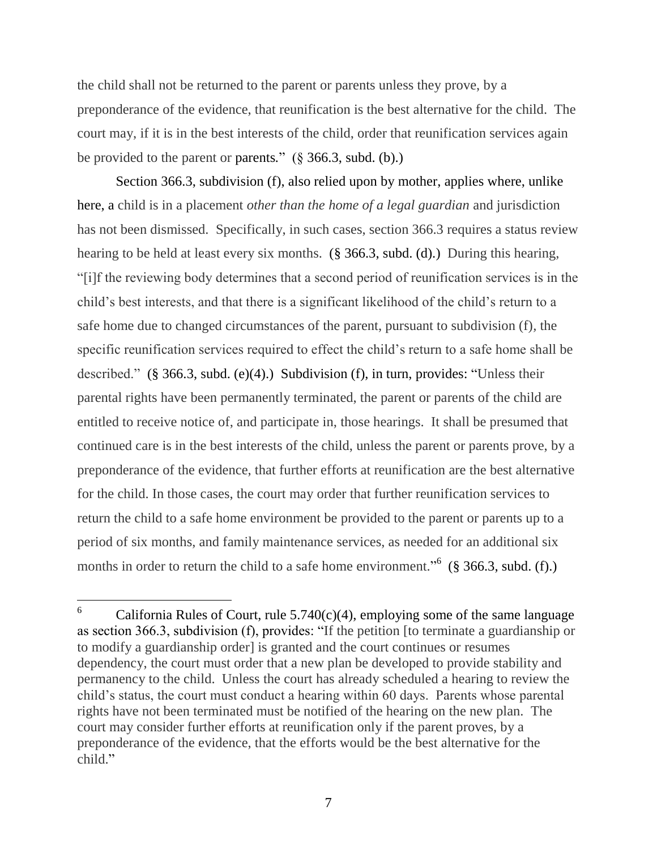the child shall not be returned to the parent or parents unless they prove, by a preponderance of the evidence, that reunification is the best alternative for the child. The court may, if it is in the best interests of the child, order that reunification services again be provided to the parent or parents*.*" (§ 366.3, subd. (b).)

Section 366.3, subdivision (f), also relied upon by mother, applies where, unlike here, a child is in a placement *other than the home of a legal guardian* and jurisdiction has not been dismissed. Specifically, in such cases, section 366.3 requires a status review hearing to be held at least every six months. (§ 366.3, subd. (d).) During this hearing, "[i]f the reviewing body determines that a second period of reunification services is in the child"s best interests, and that there is a significant likelihood of the child"s return to a safe home due to changed circumstances of the parent, pursuant to subdivision (f)*,* the specific reunification services required to effect the child"s return to a safe home shall be described." (§ 366.3, subd. (e)(4).) Subdivision (f), in turn, provides: "Unless their parental rights have been permanently terminated, the parent or parents of the child are entitled to receive notice of, and participate in, those hearings. It shall be presumed that continued care is in the best interests of the child, unless the parent or parents prove, by a preponderance of the evidence, that further efforts at reunification are the best alternative for the child. In those cases, the court may order that further reunification services to return the child to a safe home environment be provided to the parent or parents up to a period of six months, and family maintenance services, as needed for an additional six months in order to return the child to a safe home environment."<sup>6</sup> (§ 366.3, subd. (f).)

<sup>6</sup> California Rules of Court, rule  $5.740(c)(4)$ , employing some of the same language as section 366.3, subdivision (f), provides: "If the petition [to terminate a guardianship or to modify a guardianship order] is granted and the court continues or resumes dependency, the court must order that a new plan be developed to provide stability and permanency to the child. Unless the court has already scheduled a hearing to review the child"s status, the court must conduct a hearing within 60 days. Parents whose parental rights have not been terminated must be notified of the hearing on the new plan. The court may consider further efforts at reunification only if the parent proves, by a preponderance of the evidence, that the efforts would be the best alternative for the child."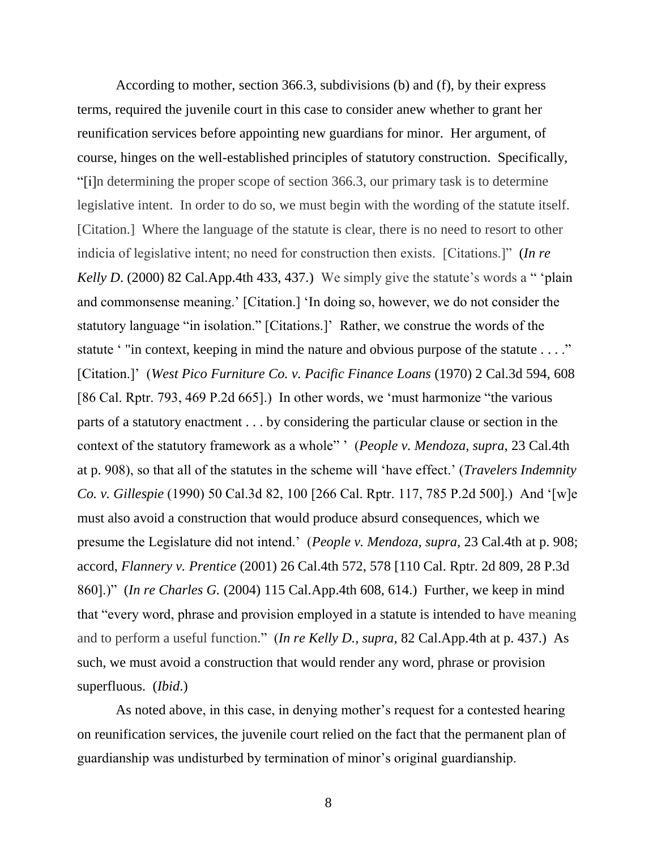According to mother, section 366.3, subdivisions (b) and (f), by their express terms, required the juvenile court in this case to consider anew whether to grant her reunification services before appointing new guardians for minor. Her argument, of course, hinges on the well-established principles of statutory construction. Specifically, "[i]n determining the proper scope of section 366.3, our primary task is to determine legislative intent. In order to do so, we must begin with the wording of the statute itself. [Citation.] Where the language of the statute is clear, there is no need to resort to other indicia of legislative intent; no need for construction then exists. [Citations.]" (*In re Kelly D.* (2000) 82 Cal.App.4th 433, 437.) We simply give the statute's words a " 'plain' and commonsense meaning." [Citation.] "In doing so, however, we do not consider the statutory language "in isolation." [Citations.]" Rather, we construe the words of the statute '" in context, keeping in mind the nature and obvious purpose of the statute . . . ." [Citation.]" (*West Pico Furniture Co. v. Pacific Finance Loans* (1970) 2 Cal.3d 594, 608 [86 Cal. Rptr. 793, 469 P.2d 665].) In other words, we "must harmonize "the various parts of a statutory enactment . . . by considering the particular clause or section in the context of the statutory framework as a whole" " (*People v. Mendoza, supra,* 23 Cal.4th at p. 908), so that all of the statutes in the scheme will "have effect." (*Travelers Indemnity Co. v. Gillespie* (1990) 50 Cal.3d 82, 100 [266 Cal. Rptr. 117, 785 P.2d 500].) And "[w]e must also avoid a construction that would produce absurd consequences, which we presume the Legislature did not intend." (*People v. Mendoza, supra,* 23 Cal.4th at p. 908; accord, *Flannery v. Prentice* (2001) 26 Cal.4th 572, 578 [110 Cal. Rptr. 2d 809, 28 P.3d 860].)" (*In re Charles G.* (2004) 115 Cal.App.4th 608, 614.) Further, we keep in mind that "every word, phrase and provision employed in a statute is intended to have meaning and to perform a useful function." (*In re Kelly D., supra,* 82 Cal.App.4th at p. 437.) As such, we must avoid a construction that would render any word, phrase or provision superfluous. (*Ibid*.)

As noted above, in this case, in denying mother's request for a contested hearing on reunification services, the juvenile court relied on the fact that the permanent plan of guardianship was undisturbed by termination of minor"s original guardianship.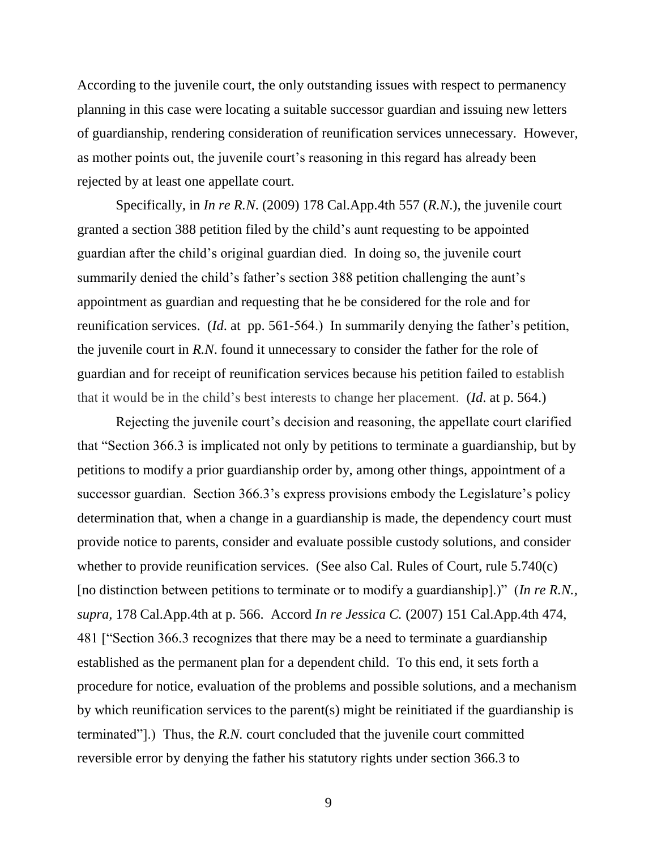According to the juvenile court, the only outstanding issues with respect to permanency planning in this case were locating a suitable successor guardian and issuing new letters of guardianship, rendering consideration of reunification services unnecessary. However, as mother points out, the juvenile court's reasoning in this regard has already been rejected by at least one appellate court.

Specifically, in *In re R.N*. (2009) 178 Cal.App.4th 557 (*R.N*.), the juvenile court granted a section 388 petition filed by the child"s aunt requesting to be appointed guardian after the child"s original guardian died. In doing so, the juvenile court summarily denied the child's father's section 388 petition challenging the aunt's appointment as guardian and requesting that he be considered for the role and for reunification services. (*Id.* at pp. 561-564.) In summarily denying the father's petition, the juvenile court in *R.N*. found it unnecessary to consider the father for the role of guardian and for receipt of reunification services because his petition failed to establish that it would be in the child"s best interests to change her placement. (*Id*. at p. 564.)

Rejecting the juvenile court's decision and reasoning, the appellate court clarified that "Section 366.3 is implicated not only by petitions to terminate a guardianship, but by petitions to modify a prior guardianship order by, among other things, appointment of a successor guardian. Section 366.3's express provisions embody the Legislature's policy determination that, when a change in a guardianship is made, the dependency court must provide notice to parents, consider and evaluate possible custody solutions, and consider whether to provide reunification services. (See also Cal. Rules of Court, rule 5.740(c) [no distinction between petitions to terminate or to modify a guardianship].)" (*In re R.N., supra,* 178 Cal.App.4th at p. 566. Accord *In re Jessica C.* (2007) 151 Cal.App.4th 474, 481 ["Section 366.3 recognizes that there may be a need to terminate a guardianship established as the permanent plan for a dependent child. To this end, it sets forth a procedure for notice, evaluation of the problems and possible solutions, and a mechanism by which reunification services to the parent(s) might be reinitiated if the guardianship is terminated"].) Thus, the *R.N.* court concluded that the juvenile court committed reversible error by denying the father his statutory rights under section 366.3 to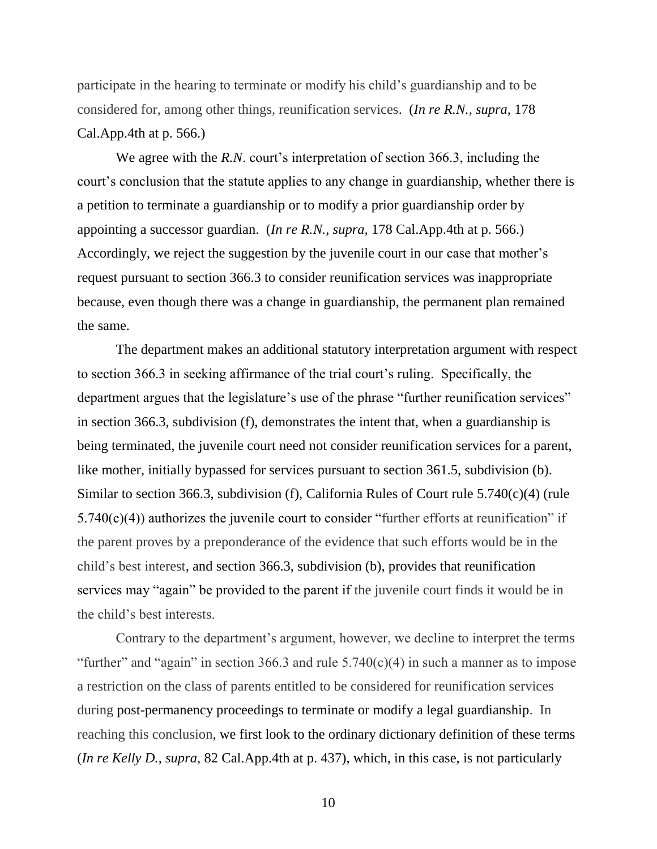participate in the hearing to terminate or modify his child"s guardianship and to be considered for, among other things, reunification services. (*In re R.N., supra,* 178 Cal.App.4th at p. 566.)

We agree with the *R.N.* court's interpretation of section 366.3, including the court's conclusion that the statute applies to any change in guardianship, whether there is a petition to terminate a guardianship or to modify a prior guardianship order by appointing a successor guardian. (*In re R.N., supra,* 178 Cal.App.4th at p. 566.) Accordingly, we reject the suggestion by the juvenile court in our case that mother's request pursuant to section 366.3 to consider reunification services was inappropriate because, even though there was a change in guardianship, the permanent plan remained the same.

The department makes an additional statutory interpretation argument with respect to section 366.3 in seeking affirmance of the trial court's ruling. Specifically, the department argues that the legislature's use of the phrase "further reunification services" in section 366.3, subdivision (f), demonstrates the intent that, when a guardianship is being terminated, the juvenile court need not consider reunification services for a parent, like mother, initially bypassed for services pursuant to section 361.5, subdivision (b). Similar to section 366.3, subdivision (f), California Rules of Court rule 5.740(c)(4) (rule  $5.740(c)(4)$ ) authorizes the juvenile court to consider "further efforts at reunification" if the parent proves by a preponderance of the evidence that such efforts would be in the child"s best interest, and section 366.3, subdivision (b), provides that reunification services may "again" be provided to the parent if the juvenile court finds it would be in the child"s best interests.

Contrary to the department's argument, however, we decline to interpret the terms "further" and "again" in section 366.3 and rule  $5.740(c)(4)$  in such a manner as to impose a restriction on the class of parents entitled to be considered for reunification services during post-permanency proceedings to terminate or modify a legal guardianship. In reaching this conclusion, we first look to the ordinary dictionary definition of these terms (*In re Kelly D., supra,* 82 Cal.App.4th at p. 437), which, in this case, is not particularly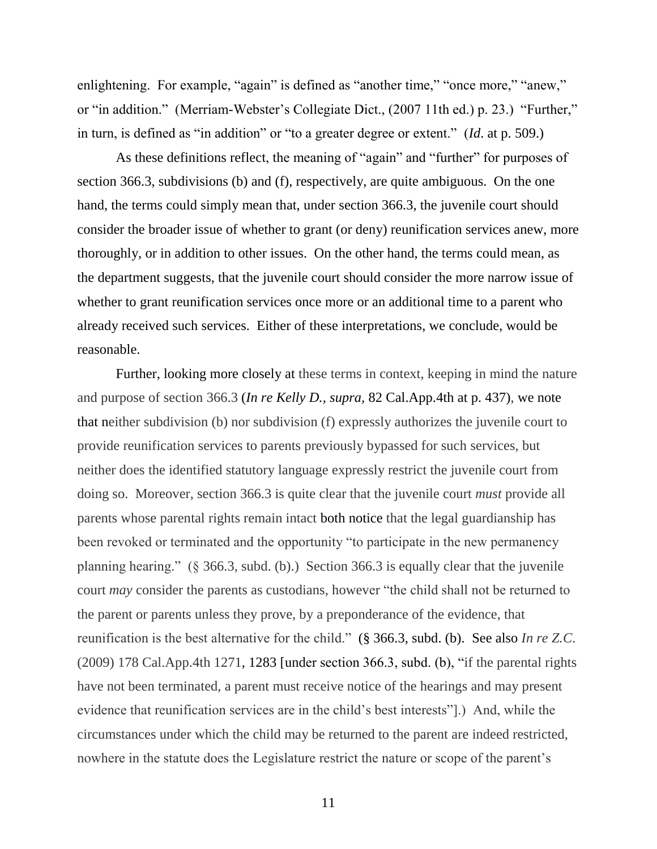enlightening. For example, "again" is defined as "another time," "once more," "anew," or "in addition." (Merriam-Webster"s Collegiate Dict., (2007 11th ed.) p. 23.) "Further," in turn, is defined as "in addition" or "to a greater degree or extent." (*Id*. at p. 509.)

As these definitions reflect, the meaning of "again" and "further" for purposes of section 366.3, subdivisions (b) and (f), respectively, are quite ambiguous. On the one hand, the terms could simply mean that, under section 366.3, the juvenile court should consider the broader issue of whether to grant (or deny) reunification services anew, more thoroughly, or in addition to other issues. On the other hand, the terms could mean, as the department suggests, that the juvenile court should consider the more narrow issue of whether to grant reunification services once more or an additional time to a parent who already received such services. Either of these interpretations, we conclude, would be reasonable.

Further, looking more closely at these terms in context, keeping in mind the nature and purpose of section 366.3 (*In re Kelly D., supra,* 82 Cal.App.4th at p. 437), we note that neither subdivision (b) nor subdivision (f) expressly authorizes the juvenile court to provide reunification services to parents previously bypassed for such services, but neither does the identified statutory language expressly restrict the juvenile court from doing so. Moreover, section 366.3 is quite clear that the juvenile court *must* provide all parents whose parental rights remain intact both notice that the legal guardianship has been revoked or terminated and the opportunity "to participate in the new permanency planning hearing." (§ 366.3, subd. (b).) Section 366.3 is equally clear that the juvenile court *may* consider the parents as custodians, however "the child shall not be returned to the parent or parents unless they prove, by a preponderance of the evidence, that reunification is the best alternative for the child." (§ 366.3, subd. (b). See also *In re Z.C*. (2009) 178 Cal.App.4th 1271, 1283 [under section 366.3, subd. (b), "if the parental rights have not been terminated, a parent must receive notice of the hearings and may present evidence that reunification services are in the child"s best interests"].) And, while the circumstances under which the child may be returned to the parent are indeed restricted, nowhere in the statute does the Legislature restrict the nature or scope of the parent's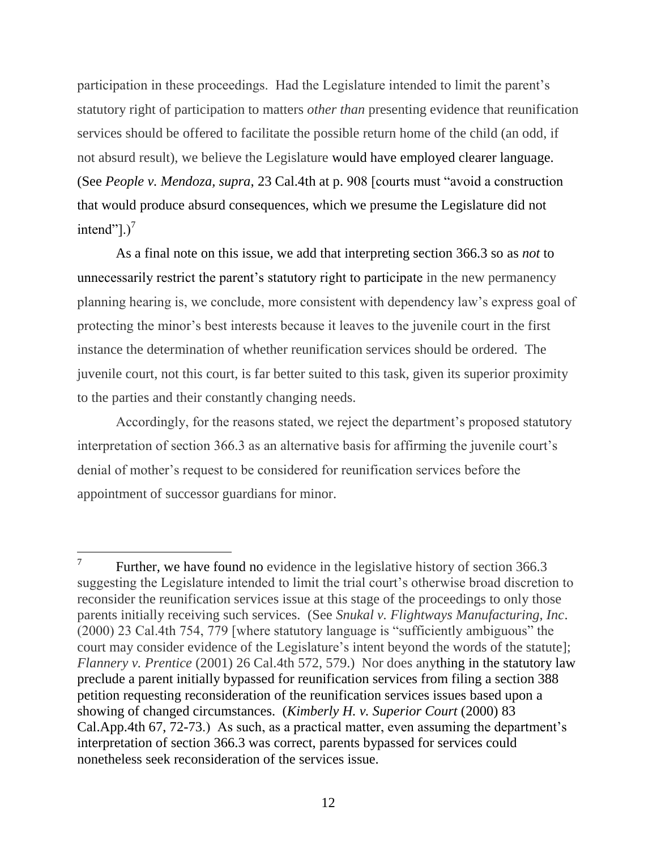participation in these proceedings. Had the Legislature intended to limit the parent's statutory right of participation to matters *other than* presenting evidence that reunification services should be offered to facilitate the possible return home of the child (an odd, if not absurd result), we believe the Legislature would have employed clearer language. (See *People v. Mendoza, supra*, 23 Cal.4th at p. 908 [courts must "avoid a construction that would produce absurd consequences, which we presume the Legislature did not intend"]. $)^7$ 

As a final note on this issue, we add that interpreting section 366.3 so as *not* to unnecessarily restrict the parent's statutory right to participate in the new permanency planning hearing is, we conclude, more consistent with dependency law"s express goal of protecting the minor"s best interests because it leaves to the juvenile court in the first instance the determination of whether reunification services should be ordered. The juvenile court, not this court, is far better suited to this task, given its superior proximity to the parties and their constantly changing needs.

Accordingly, for the reasons stated, we reject the department's proposed statutory interpretation of section 366.3 as an alternative basis for affirming the juvenile court's denial of mother"s request to be considered for reunification services before the appointment of successor guardians for minor.

<sup>7</sup> Further, we have found no evidence in the legislative history of section 366.3 suggesting the Legislature intended to limit the trial court's otherwise broad discretion to reconsider the reunification services issue at this stage of the proceedings to only those parents initially receiving such services. (See *Snukal v. Flightways Manufacturing, Inc*. (2000) 23 Cal.4th 754, 779 [where statutory language is "sufficiently ambiguous" the court may consider evidence of the Legislature's intent beyond the words of the statute]; *Flannery v. Prentice* (2001) 26 Cal.4th 572, 579.) Nor does anything in the statutory law preclude a parent initially bypassed for reunification services from filing a section 388 petition requesting reconsideration of the reunification services issues based upon a showing of changed circumstances. (*Kimberly H. v. Superior Court* (2000) 83 Cal.App.4th 67, 72-73.) As such, as a practical matter, even assuming the department's interpretation of section 366.3 was correct, parents bypassed for services could nonetheless seek reconsideration of the services issue.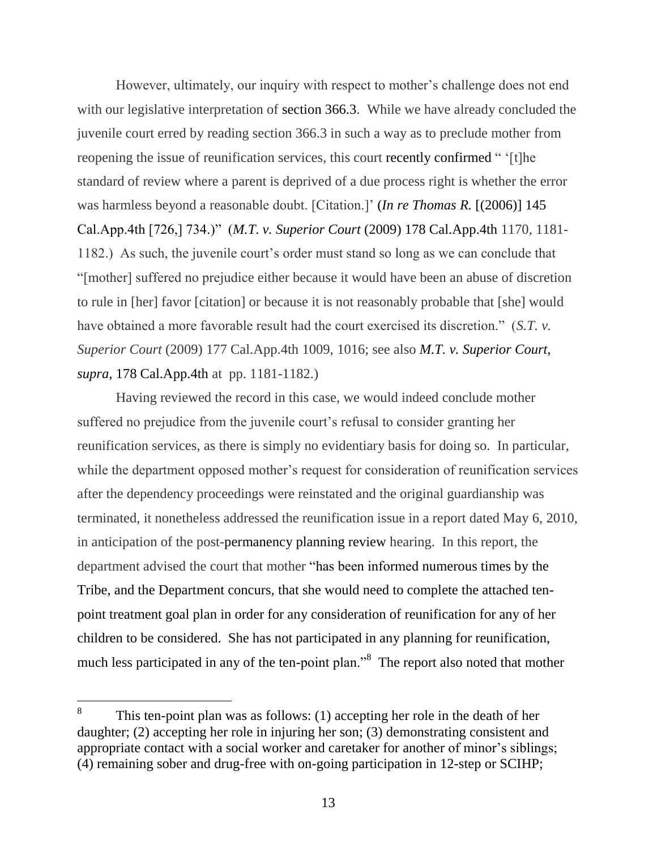However, ultimately, our inquiry with respect to mother"s challenge does not end with our legislative interpretation of section 366.3. While we have already concluded the juvenile court erred by reading section 366.3 in such a way as to preclude mother from reopening the issue of reunification services, this court recently confirmed " "[t]he standard of review where a parent is deprived of a due process right is whether the error was harmless beyond a reasonable doubt. [Citation.]' *(In re Thomas R.* [(2006)] 145 Cal.App.4th [726,] 734.)" (*M.T*. *v. Superior Court* (2009) 178 Cal.App.4th 1170, 1181- 1182.) As such, the juvenile court's order must stand so long as we can conclude that "[mother] suffered no prejudice either because it would have been an abuse of discretion to rule in [her] favor [citation] or because it is not reasonably probable that [she] would have obtained a more favorable result had the court exercised its discretion." (*S.T. v. Superior Court* (2009) 177 Cal.App.4th 1009, 1016; see also *M.T. v. Superior Court, supra,* 178 Cal.App.4th at pp. 1181-1182.)

Having reviewed the record in this case, we would indeed conclude mother suffered no prejudice from the juvenile court's refusal to consider granting her reunification services, as there is simply no evidentiary basis for doing so. In particular, while the department opposed mother's request for consideration of reunification services after the dependency proceedings were reinstated and the original guardianship was terminated, it nonetheless addressed the reunification issue in a report dated May 6, 2010, in anticipation of the post-permanency planning review hearing. In this report, the department advised the court that mother "has been informed numerous times by the Tribe, and the Department concurs, that she would need to complete the attached tenpoint treatment goal plan in order for any consideration of reunification for any of her children to be considered. She has not participated in any planning for reunification, much less participated in any of the ten-point plan.<sup>8</sup> The report also noted that mother

<sup>8</sup> This ten-point plan was as follows: (1) accepting her role in the death of her daughter; (2) accepting her role in injuring her son; (3) demonstrating consistent and appropriate contact with a social worker and caretaker for another of minor's siblings; (4) remaining sober and drug-free with on-going participation in 12-step or SCIHP;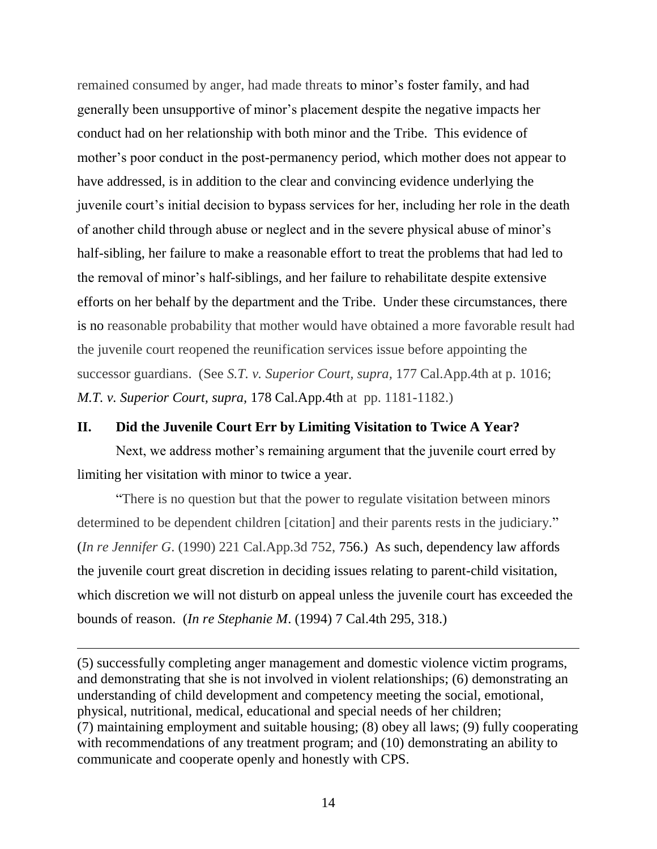remained consumed by anger, had made threats to minor's foster family, and had generally been unsupportive of minor"s placement despite the negative impacts her conduct had on her relationship with both minor and the Tribe. This evidence of mother"s poor conduct in the post-permanency period, which mother does not appear to have addressed, is in addition to the clear and convincing evidence underlying the juvenile court"s initial decision to bypass services for her, including her role in the death of another child through abuse or neglect and in the severe physical abuse of minor"s half-sibling, her failure to make a reasonable effort to treat the problems that had led to the removal of minor"s half-siblings, and her failure to rehabilitate despite extensive efforts on her behalf by the department and the Tribe. Under these circumstances, there is no reasonable probability that mother would have obtained a more favorable result had the juvenile court reopened the reunification services issue before appointing the successor guardians. (See *S.T. v. Superior Court, supra,* 177 Cal.App.4th at p. 1016; *M.T. v. Superior Court, supra,* 178 Cal.App.4th at pp. 1181-1182.)

#### **II. Did the Juvenile Court Err by Limiting Visitation to Twice A Year?**

Next, we address mother"s remaining argument that the juvenile court erred by limiting her visitation with minor to twice a year.

"There is no question but that the power to regulate visitation between minors determined to be dependent children [citation] and their parents rests in the judiciary." (*In re Jennifer G*. (1990) 221 Cal.App.3d 752, 756.) As such, dependency law affords the juvenile court great discretion in deciding issues relating to parent-child visitation, which discretion we will not disturb on appeal unless the juvenile court has exceeded the bounds of reason. (*In re Stephanie M*. (1994) 7 Cal.4th 295, 318.)

(5) successfully completing anger management and domestic violence victim programs, and demonstrating that she is not involved in violent relationships; (6) demonstrating an understanding of child development and competency meeting the social, emotional, physical, nutritional, medical, educational and special needs of her children; (7) maintaining employment and suitable housing; (8) obey all laws; (9) fully cooperating with recommendations of any treatment program; and (10) demonstrating an ability to communicate and cooperate openly and honestly with CPS.

 $\overline{a}$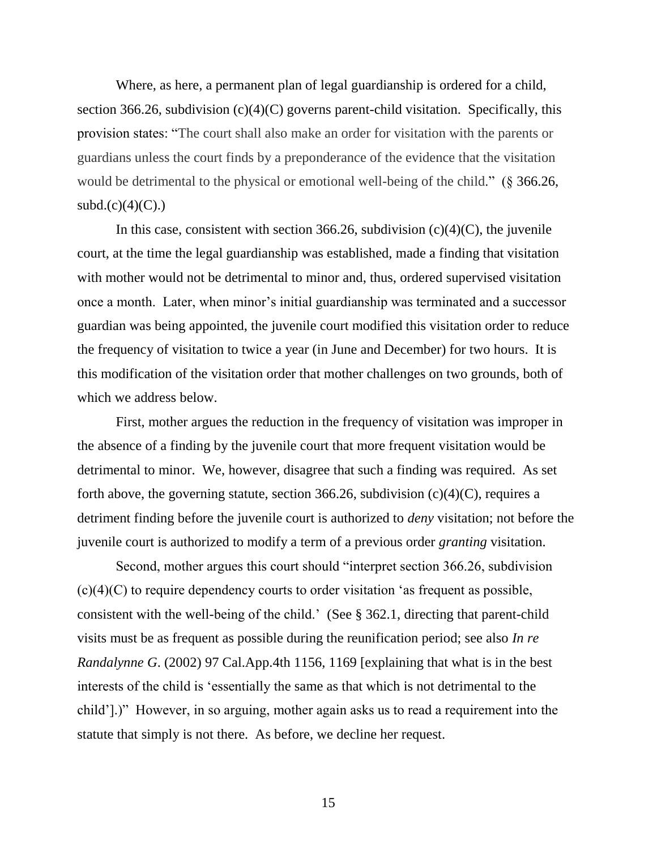Where, as here, a permanent plan of legal guardianship is ordered for a child, section 366.26, subdivision  $(c)(4)(C)$  governs parent-child visitation. Specifically, this provision states: "The court shall also make an order for visitation with the parents or guardians unless the court finds by a preponderance of the evidence that the visitation would be detrimental to the physical or emotional well-being of the child." (§ 366.26,  $subd.(c)(4)(C)$ .

In this case, consistent with section 366.26, subdivision  $(c)(4)(C)$ , the juvenile court, at the time the legal guardianship was established, made a finding that visitation with mother would not be detrimental to minor and, thus, ordered supervised visitation once a month. Later, when minor"s initial guardianship was terminated and a successor guardian was being appointed, the juvenile court modified this visitation order to reduce the frequency of visitation to twice a year (in June and December) for two hours. It is this modification of the visitation order that mother challenges on two grounds, both of which we address below.

First, mother argues the reduction in the frequency of visitation was improper in the absence of a finding by the juvenile court that more frequent visitation would be detrimental to minor. We, however, disagree that such a finding was required. As set forth above, the governing statute, section 366.26, subdivision  $(c)(4)(C)$ , requires a detriment finding before the juvenile court is authorized to *deny* visitation; not before the juvenile court is authorized to modify a term of a previous order *granting* visitation.

Second, mother argues this court should "interpret section 366.26, subdivision  $(c)(4)(C)$  to require dependency courts to order visitation 'as frequent as possible, consistent with the well-being of the child." (See § 362.1, directing that parent-child visits must be as frequent as possible during the reunification period; see also *In re Randalynne G*. (2002) 97 Cal.App.4th 1156, 1169 [explaining that what is in the best interests of the child is "essentially the same as that which is not detrimental to the child"].)" However, in so arguing, mother again asks us to read a requirement into the statute that simply is not there. As before, we decline her request.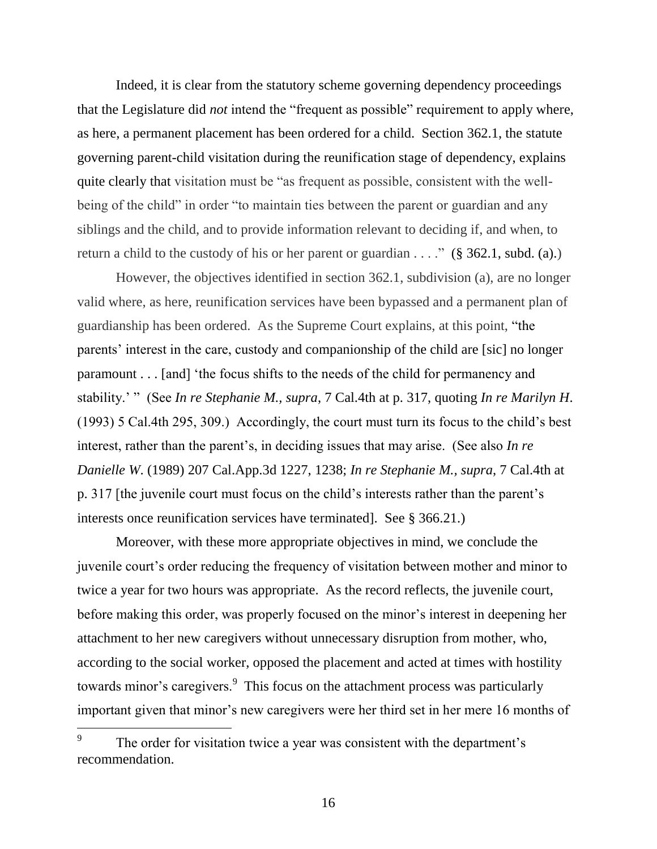Indeed, it is clear from the statutory scheme governing dependency proceedings that the Legislature did *not* intend the "frequent as possible" requirement to apply where, as here, a permanent placement has been ordered for a child. Section 362.1, the statute governing parent-child visitation during the reunification stage of dependency, explains quite clearly that visitation must be "as frequent as possible, consistent with the wellbeing of the child" in order "to maintain ties between the parent or guardian and any siblings and the child, and to provide information relevant to deciding if, and when, to return a child to the custody of his or her parent or guardian  $\dots$ ." (§ 362.1, subd. (a).)

However, the objectives identified in section 362.1, subdivision (a), are no longer valid where, as here, reunification services have been bypassed and a permanent plan of guardianship has been ordered. As the Supreme Court explains, at this point, "the parents' interest in the care, custody and companionship of the child are [sic] no longer paramount . . . [and] "the focus shifts to the needs of the child for permanency and stability." " (See *In re Stephanie M., supra*, 7 Cal.4th at p. 317, quoting *In re Marilyn H*. (1993) 5 Cal.4th 295, 309.) Accordingly, the court must turn its focus to the child"s best interest, rather than the parent's, in deciding issues that may arise. (See also *In re Danielle W*. (1989) 207 Cal.App.3d 1227, 1238; *In re Stephanie M., supra*, 7 Cal.4th at p. 317 [the juvenile court must focus on the child"s interests rather than the parent"s interests once reunification services have terminated]. See § 366.21.)

Moreover, with these more appropriate objectives in mind, we conclude the juvenile court"s order reducing the frequency of visitation between mother and minor to twice a year for two hours was appropriate. As the record reflects, the juvenile court, before making this order, was properly focused on the minor's interest in deepening her attachment to her new caregivers without unnecessary disruption from mother, who, according to the social worker, opposed the placement and acted at times with hostility towards minor's caregivers.<sup>9</sup> This focus on the attachment process was particularly important given that minor's new caregivers were her third set in her mere 16 months of

 $\overline{a}$ 

<sup>9</sup> The order for visitation twice a year was consistent with the department's recommendation.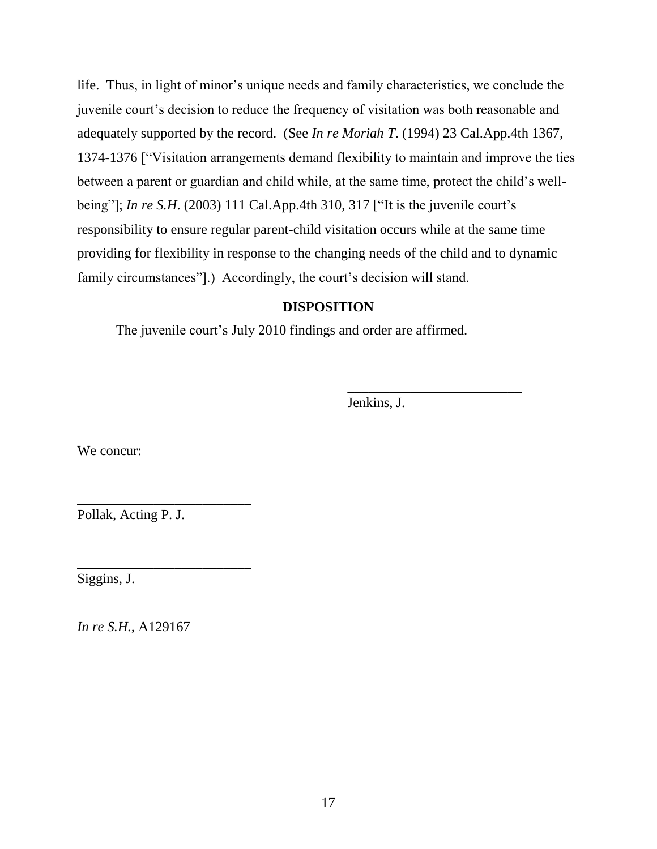life. Thus, in light of minor's unique needs and family characteristics, we conclude the juvenile court"s decision to reduce the frequency of visitation was both reasonable and adequately supported by the record. (See *In re Moriah T*. (1994) 23 Cal.App.4th 1367, 1374-1376 ["Visitation arrangements demand flexibility to maintain and improve the ties between a parent or guardian and child while, at the same time, protect the child"s wellbeing"]; *In re S.H.* (2003) 111 Cal.App.4th 310, 317 ["It is the juvenile court's responsibility to ensure regular parent-child visitation occurs while at the same time providing for flexibility in response to the changing needs of the child and to dynamic family circumstances"].) Accordingly, the court's decision will stand.

# **DISPOSITION**

The juvenile court's July 2010 findings and order are affirmed.

Jenkins, J.

\_\_\_\_\_\_\_\_\_\_\_\_\_\_\_\_\_\_\_\_\_\_\_\_\_

We concur:

Pollak, Acting P. J.

\_\_\_\_\_\_\_\_\_\_\_\_\_\_\_\_\_\_\_\_\_\_\_\_\_

\_\_\_\_\_\_\_\_\_\_\_\_\_\_\_\_\_\_\_\_\_\_\_\_\_

Siggins, J.

*In re S.H.,* A129167